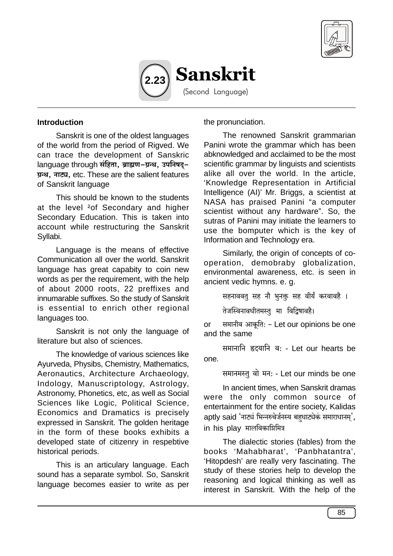



### **Introduction**

Sanskrit is one of the oldest languages of the world from the period of Rigved. We can trace the development of Sanskric language through संहिता, ब्राह्मण-ग्रन्थ, उपनिषदु-ग्रन्थ, नाट्य, etc. These are the salient features of Sanskrit language

This should be known to the students at the level <sup>2</sup>of Secondary and higher Secondary Education. This is taken into account while restructuring the Sanskrit Syllabi.

Language is the means of effective Communication all over the world. Sanskrit language has great capabity to coin new words as per the requirement, with the help of about 2000 roots, 22 preffixes and innumarable suffixes. So the study of Sanskrit is essential to enrich other regional languages too.

Sanskrit is not only the language of literature but also of sciences.

The knowledge of various sciences like Ayurveda, Physibs, Chemistry, Mathematics, Aeronautics, Architecture Archaeology, Indology, Manuscriptology, Astrology, Astronomy, Phonetics, etc, as well as Social Sciences like Logic, Political Science, Economics and Dramatics is precisely expressed in Sanskrit. The golden heritage in the form of these books exhibits a developed state of citizenry in respebtive historical periods.

This is an articulary language. Each sound has a separate symbol. So, Sanskrit language becomes easier to write as per

the pronunciation.

The renowned Sanskrit grammarian Panini wrote the grammar which has been abknowledged and acclaimed to be the most scientific grammar by linguists and scientists alike all over the world. In the article, 'Knowledge Representation in Artificial Intelligence (AI)' Mr. Briggs, a scientist at NASA has praised Panini "a computer scientist without any hardware". So, the sutras of Panini may initiate the learners to use the bomputer which is the key of Information and Technology era.

Similarly, the origin of concepts of cooperation, demobraby globalization, environmental awareness, etc. is seen in ancient vedic hymns. e. g.

सहनाववत् सह नौ भनक्त सह वीर्यं करवावहै ।

तेजस्विनावधीतमस्त् मा विद्विषावहै।

समानीव आकूति: - Let our opinions be one  $or$ and the same

समानानि हृदयानि व: - Let our hearts be one.

समानमस्तु वो मन: - Let our minds be one

In ancient times, when Sanskrit dramas were the only common source of entertainment for the entire society, Kalidas aptly said 'नाट्यं भिन्नरुचेर्जनस्य बहधाट्येकं समाराधानम'. in his plav मालविकाग्निमित्र

The dialectic stories (fables) from the books 'Mahabharat', 'Panbhatantra', 'Hitopdesh' are really very fascinating. The study of these stories help to develop the reasoning and logical thinking as well as interest in Sanskrit. With the help of the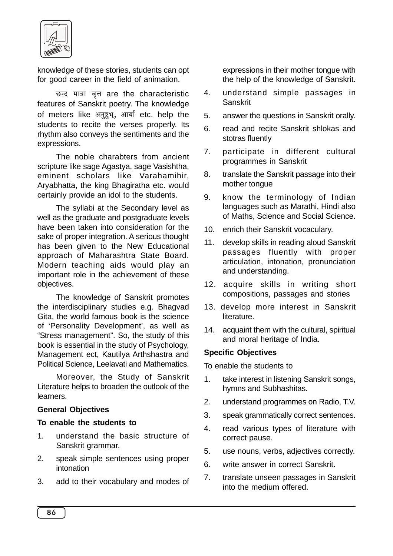

knowledge of these stories, students can opt for good career in the field of animation.

छन्द मात्रा वृत्त are the characteristic features of Sanskrit poetry. The knowledge of meters like अनुष्टभ, आर्या etc. help the students to recite the verses properly. Its rhythm also conveys the sentiments and the expressions.

The noble charabters from ancient scripture like sage Agastya, sage Vasishtha, eminent scholars like Varahamihir, Aryabhatta, the king Bhagiratha etc. would certainly provide an idol to the students.

The syllabi at the Secondary level as well as the graduate and postgraduate levels have been taken into consideration for the sake of proper integration. A serious thought has been given to the New Educational approach of Maharashtra State Board. Modern teaching aids would play an important role in the achievement of these objectives.

The knowledge of Sanskrit promotes the interdisciplinary studies e.g. Bhagvad Gita, the world famous book is the science of 'Personality Development', as well as "Stress management". So, the study of this book is essential in the study of Psychology, Management ect, Kautilya Arthshastra and Political Science, Leelavati and Mathematics.

Moreover, the Study of Sanskrit Literature helps to broaden the outlook of the learners.

# **General Objectives**

### **To enable the students to**

- 1. understand the basic structure of Sanskrit grammar.
- 2. speak simple sentences using proper intonation
- 3. add to their vocabulary and modes of

expressions in their mother tongue with the help of the knowledge of Sanskrit.

- 4. understand simple passages in Sanskrit
- 5. answer the questions in Sanskrit orally.
- 6. read and recite Sanskrit shlokas and stotras fluently
- 7. participate in different cultural programmes in Sanskrit
- 8. translate the Sanskrit passage into their mother tongue
- 9. know the terminology of Indian languages such as Marathi, Hindi also of Maths, Science and Social Science.
- 10. enrich their Sanskrit vocaculary.
- 11. develop skills in reading aloud Sanskrit passages fluently with proper articulation, intonation, pronunciation and understanding.
- 12. acquire skills in writing short compositions, passages and stories
- 13. develop more interest in Sanskrit literature.
- 14. acquaint them with the cultural, spiritual and moral heritage of India.

# **Specific Objectives**

To enable the students to

- 1. take interest in listening Sanskrit songs, hymns and Subhashitas.
- 2. understand programmes on Radio, T.V.
- 3. speak grammatically correct sentences.
- 4. read various types of literature with correct pause.
- 5. use nouns, verbs, adjectives correctly.
- 6. write answer in correct Sanskrit.
- 7. translate unseen passages in Sanskrit into the medium offered.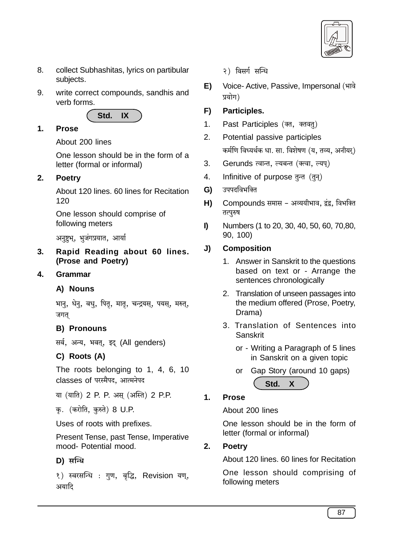

- 8. collect Subhashitas, lyrics on partibular subjects.
- $9<sub>1</sub>$ write correct compounds, sandhis and verb forms



#### $1.$ **Prose**

About 200 lines

One lesson should be in the form of a letter (formal or informal)

### $2<sub>1</sub>$ **Poetry**

About 120 lines, 60 lines for Recitation  $120$ 

One lesson should comprise of following meters

अनुष्टभ, भूजंगप्रयात, आर्या

 $3<sub>l</sub>$ Rapid Reading about 60 lines. (Prose and Poetry)

### **Grammar** 4.

# A) Nouns

भानु, धेनु, वधु, पितृ, मातृ, चन्द्रयस्, पयस्, मरुत्, जगत

# **B) Pronouns**

सर्व, अन्य, भवत्, इद् (All genders)

# C) Roots (A)

The roots belonging to 1, 4, 6, 10 classes of परस्मैपद, आत्मनेपद

या (याति) 2 P. P. अस् (अस्ति) 2 P.P.

क. (करोति, कुरुते) 8 U.P.

Uses of roots with prefixes.

Present Tense, past Tense, Imperative mood- Potential mood.

# D) सन्धि

१) स्वरसन्धि : गुण, वृद्धि, Revision यण्, अयादि

२) विसर्ग सन्धि

Voice- Active, Passive, Impersonal (भावे  $E$ प्रयोग)

### F) Participles.

- $1<sup>1</sup>$ Past Participles (क्त, क्तवत्)
- $2<sub>1</sub>$ Potential passive participles कर्मणि विध्यर्थक धा. सा. विशेषण (य. तव्य. अनीयर)
- $3<sub>1</sub>$ Gerunds त्वान्त, ल्यबन्त (क्त्वा, ल्यप्)
- $\overline{4}$ Infinitive of purpose तन्त (तून)
- उपपदविभक्ति G)
- H) Compounds समास - अव्ययीभाव, दूंद्र, विभक्ति तत्पुरुष
- $\mathbf{D}$ Numbers (1 to 20, 30, 40, 50, 60, 70,80, 90, 100)

### J) **Composition**

- 1. Answer in Sanskrit to the questions based on text or - Arrange the sentences chronologically
- 2. Translation of unseen passages into the medium offered (Prose, Poetry, Drama)
- 3. Translation of Sentences into Sanskrit
	- or Writing a Paragraph of 5 lines in Sanskrit on a given topic

### $\mathbf 1$ **Prose**

About 200 lines

One lesson should be in the form of letter (formal or informal)

### $2<sub>1</sub>$ **Poetry**

About 120 lines, 60 lines for Recitation

One lesson should comprising of following meters

or Gap Story (around 10 gaps) Std. X